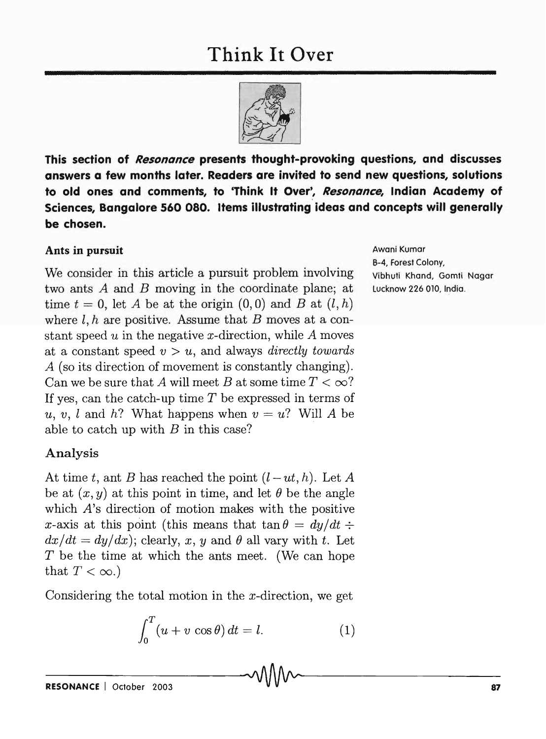

**This section of Resonance presents thought-provoking questions, and discusses answers a few months later. Readers are invited to send new questions, solutions to old ones and comments, to 'Think It Over', Resonance, Indian Academy of Sciences, Bangalore 560 080. Items illustrating ideas and concepts will generally be chosen.** 

## **Ants in pursuit**

We consider in this article a pursuit problem involving two ants *A* and *B* moving in the coordinate plane; at time  $t = 0$ , let A be at the origin  $(0,0)$  and B at  $(l, h)$ where  $l, h$  are positive. Assume that B moves at a constant speed *u* in the negative x-direction, while A moves at a constant speed *v* > *u,* and always *directly towards*  A (so its direction of movement is constantly changing). Can we be sure that *A* will meet *B* at some time  $T < \infty$ ? If yes, can the catch-up time *T* be expressed in terms of *u, v, l* and *h*? What happens when  $v = u$ ? Will *A* be able to catch up with *B* in this case?

## Analysis

At time t, ant *B* has reached the point  $(l-ut, h)$ . Let *A* be at  $(x, y)$  at this point in time, and let  $\theta$  be the angle which *A*'s direction of motion makes with the positive x-axis at this point (this means that  $\tan \theta = dy/dt$ :  $dx/dt = dy/dx$ ; clearly, *x*, *y* and  $\theta$  all vary with *t*. Let *T* be the time at which the ants meet. (We can hope that  $T < \infty$ .)

Considering the total motion in the  $x$ -direction, we get

$$
\int_0^T (u+v\,\cos\theta)\,dt = l.\tag{1}
$$

Awani Kumar B-4, Forest Colony, Vibhuti Khand, Gomti Nagar lucknow 226 010, India.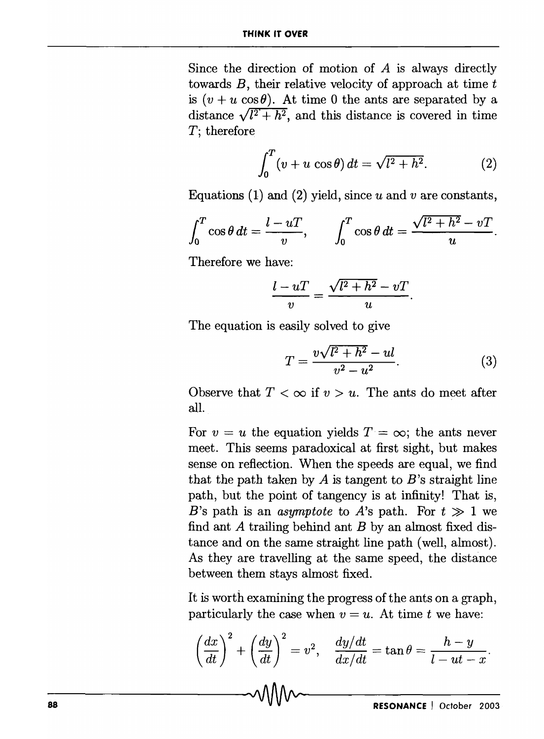Since the direction of motion of  $A$  is always directly towards  $B$ , their relative velocity of approach at time  $t$ is  $(v + u \cos \theta)$ . At time 0 the ants are separated by a distance  $\sqrt{l^2 + h^2}$ , and this distance is covered in time *T;* therefore

$$
\int_0^T (v+u\,\cos\theta)\,dt = \sqrt{l^2+h^2}.\tag{2}
$$

Equations (1) and (2) yield, since *u* and *v* are constants,

$$
\int_0^T \cos \theta \, dt = \frac{l - uT}{v}, \qquad \int_0^T \cos \theta \, dt = \frac{\sqrt{l^2 + h^2} - vT}{u}.
$$

Therefore we have:

$$
\frac{l-uT}{v}=\frac{\sqrt{l^2+h^2}-vT}{u}.
$$

The equation is easily solved to give

$$
T = \frac{v\sqrt{l^2 + h^2} - ul}{v^2 - u^2}.
$$
 (3)

Observe that  $T < \infty$  if  $v > u$ . The ants do meet after all.

For  $v = u$  the equation yields  $T = \infty$ ; the ants never meet. This seems paradoxical at first sight, but makes sense on reflection. When the speeds are equal, we find that the path taken by *A* is tangent to *B's* straight line path, but the point of tangency is at infinity! That is, *B*'s path is an *asymptote* to *A*'s path. For  $t \gg 1$  we find ant *A* trailing behind ant *B* by an almost fixed distance and on the same straight line path (well, almost). As they are travelling at the same speed, the distance between them stays almost fixed.

It is worth examining the progress of the ants on a graph, particularly the case when  $v = u$ . At time t we have:

$$
\left(\frac{dx}{dt}\right)^2 + \left(\frac{dy}{dt}\right)^2 = v^2, \quad \frac{dy/dt}{dx/dt} = \tan \theta = \frac{h-y}{l-ut-x}.
$$